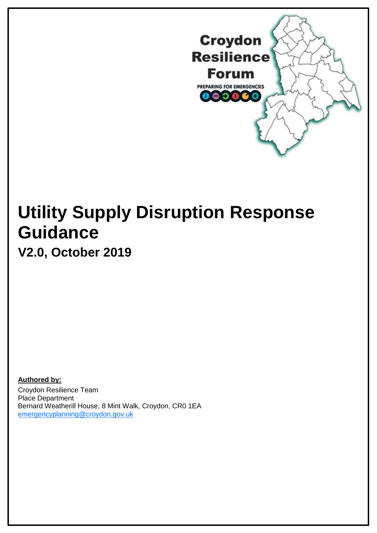

# **Utility Supply Disruption Response Guidance**

**V2.0, October 2019**

**Authored by:** Croydon Resilience Team Place Department Bernard Weatherill House, 8 Mint Walk, Croydon, CR0 1EA [emergencyplanning@croydon.gov.uk](mailto:emergencyplanning@croydon.gov.uk)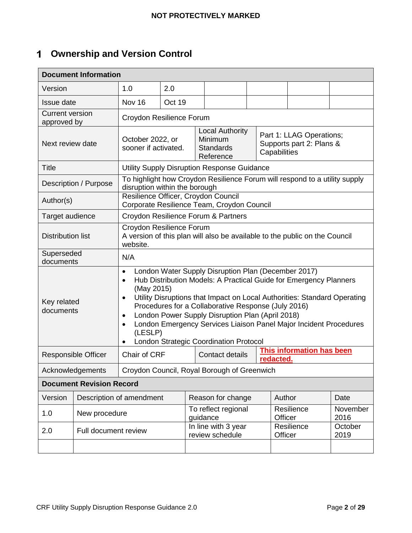# **Ownership and Version Control**

| <b>Document Information</b>           |                            |                                                                                                                                                                                                                                                                                                                                                                                                                                                                                                                    |        |                                                                                   |  |                                                                      |                                  |                  |
|---------------------------------------|----------------------------|--------------------------------------------------------------------------------------------------------------------------------------------------------------------------------------------------------------------------------------------------------------------------------------------------------------------------------------------------------------------------------------------------------------------------------------------------------------------------------------------------------------------|--------|-----------------------------------------------------------------------------------|--|----------------------------------------------------------------------|----------------------------------|------------------|
| Version                               |                            | 1.0                                                                                                                                                                                                                                                                                                                                                                                                                                                                                                                | 2.0    |                                                                                   |  |                                                                      |                                  |                  |
| Issue date                            |                            | Nov 16                                                                                                                                                                                                                                                                                                                                                                                                                                                                                                             | Oct 19 |                                                                                   |  |                                                                      |                                  |                  |
| <b>Current version</b><br>approved by |                            | Croydon Resilience Forum                                                                                                                                                                                                                                                                                                                                                                                                                                                                                           |        |                                                                                   |  |                                                                      |                                  |                  |
| Next review date                      |                            | October 2022, or<br>sooner if activated.                                                                                                                                                                                                                                                                                                                                                                                                                                                                           |        | <b>Local Authority</b><br>Minimum<br><b>Standards</b><br>Reference                |  | Part 1: LLAG Operations;<br>Supports part 2: Plans &<br>Capabilities |                                  |                  |
| <b>Title</b>                          |                            |                                                                                                                                                                                                                                                                                                                                                                                                                                                                                                                    |        | Utility Supply Disruption Response Guidance                                       |  |                                                                      |                                  |                  |
|                                       | Description / Purpose      | disruption within the borough                                                                                                                                                                                                                                                                                                                                                                                                                                                                                      |        | To highlight how Croydon Resilience Forum will respond to a utility supply        |  |                                                                      |                                  |                  |
| Author(s)                             |                            |                                                                                                                                                                                                                                                                                                                                                                                                                                                                                                                    |        | Resilience Officer, Croydon Council<br>Corporate Resilience Team, Croydon Council |  |                                                                      |                                  |                  |
| Target audience                       |                            |                                                                                                                                                                                                                                                                                                                                                                                                                                                                                                                    |        | Croydon Resilience Forum & Partners                                               |  |                                                                      |                                  |                  |
| <b>Distribution list</b>              |                            | Croydon Resilience Forum<br>A version of this plan will also be available to the public on the Council<br>website.                                                                                                                                                                                                                                                                                                                                                                                                 |        |                                                                                   |  |                                                                      |                                  |                  |
| Superseded<br>documents               |                            | N/A                                                                                                                                                                                                                                                                                                                                                                                                                                                                                                                |        |                                                                                   |  |                                                                      |                                  |                  |
| Key related<br>documents              |                            | London Water Supply Disruption Plan (December 2017)<br>$\bullet$<br>Hub Distribution Models: A Practical Guide for Emergency Planners<br>$\bullet$<br>(May 2015)<br>Utility Disruptions that Impact on Local Authorities: Standard Operating<br>Procedures for a Collaborative Response (July 2016)<br>London Power Supply Disruption Plan (April 2018)<br>$\bullet$<br>London Emergency Services Liaison Panel Major Incident Procedures<br>$\bullet$<br>(LESLP)<br><b>London Strategic Coordination Protocol</b> |        |                                                                                   |  |                                                                      |                                  |                  |
|                                       | <b>Responsible Officer</b> | Chair of CRF                                                                                                                                                                                                                                                                                                                                                                                                                                                                                                       |        | Contact details                                                                   |  | redacted.                                                            | <b>This information has been</b> |                  |
|                                       | Acknowledgements           | Croydon Council, Royal Borough of Greenwich                                                                                                                                                                                                                                                                                                                                                                                                                                                                        |        |                                                                                   |  |                                                                      |                                  |                  |
| <b>Document Revision Record</b>       |                            |                                                                                                                                                                                                                                                                                                                                                                                                                                                                                                                    |        |                                                                                   |  |                                                                      |                                  |                  |
| Version                               |                            | Description of amendment                                                                                                                                                                                                                                                                                                                                                                                                                                                                                           |        | Reason for change                                                                 |  | Author                                                               |                                  | Date             |
| 1.0                                   | New procedure              |                                                                                                                                                                                                                                                                                                                                                                                                                                                                                                                    |        | To reflect regional<br>guidance                                                   |  | Officer                                                              | Resilience                       | November<br>2016 |
| 2.0                                   | Full document review       |                                                                                                                                                                                                                                                                                                                                                                                                                                                                                                                    |        | In line with 3 year<br>review schedule                                            |  | Officer                                                              | Resilience                       | October<br>2019  |
|                                       |                            |                                                                                                                                                                                                                                                                                                                                                                                                                                                                                                                    |        |                                                                                   |  |                                                                      |                                  |                  |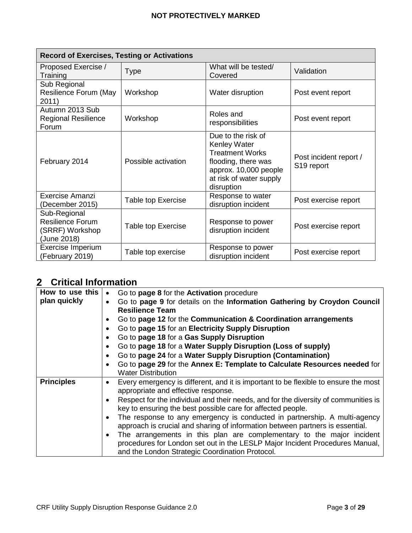| <b>Record of Exercises, Testing or Activations</b>                 |                           |                                                                                                                                                       |                                                  |  |
|--------------------------------------------------------------------|---------------------------|-------------------------------------------------------------------------------------------------------------------------------------------------------|--------------------------------------------------|--|
| Proposed Exercise /<br>Training                                    | <b>Type</b>               | What will be tested/<br>Covered                                                                                                                       | Validation                                       |  |
| Sub Regional<br>Resilience Forum (May<br>2011)                     | Workshop                  | Water disruption                                                                                                                                      | Post event report                                |  |
| Autumn 2013 Sub<br><b>Regional Resilience</b><br>Forum             | Workshop                  | Roles and<br>responsibilities                                                                                                                         | Post event report                                |  |
| February 2014                                                      | Possible activation       | Due to the risk of<br>Kenley Water<br><b>Treatment Works</b><br>flooding, there was<br>approx. 10,000 people<br>at risk of water supply<br>disruption | Post incident report /<br>S <sub>19</sub> report |  |
| Exercise Amanzi<br>(December 2015)                                 | <b>Table top Exercise</b> | Response to water<br>disruption incident                                                                                                              | Post exercise report                             |  |
| Sub-Regional<br>Resilience Forum<br>(SRRF) Workshop<br>(June 2018) | <b>Table top Exercise</b> | Response to power<br>disruption incident                                                                                                              | Post exercise report                             |  |
| Exercise Imperium<br>(February 2019)                               | Table top exercise        | Response to power<br>disruption incident                                                                                                              | Post exercise report                             |  |

# **Critical Information**

| How to use this   | Go to page 8 for the Activation procedure<br>$\bullet$                                   |
|-------------------|------------------------------------------------------------------------------------------|
| plan quickly      | Go to page 9 for details on the Information Gathering by Croydon Council<br>$\bullet$    |
|                   | <b>Resilience Team</b>                                                                   |
|                   | Go to page 12 for the Communication & Coordination arrangements<br>٠                     |
|                   | Go to page 15 for an Electricity Supply Disruption<br>$\bullet$                          |
|                   | Go to page 18 for a Gas Supply Disruption<br>$\bullet$                                   |
|                   | Go to page 18 for a Water Supply Disruption (Loss of supply)<br>$\bullet$                |
|                   | Go to page 24 for a Water Supply Disruption (Contamination)<br>$\bullet$                 |
|                   | Go to page 29 for the Annex E: Template to Calculate Resources needed for<br>$\bullet$   |
|                   | <b>Water Distribution</b>                                                                |
| <b>Principles</b> | Every emergency is different, and it is important to be flexible to ensure the most<br>٠ |
|                   | appropriate and effective response.                                                      |
|                   | Respect for the individual and their needs, and for the diversity of communities is<br>٠ |
|                   | key to ensuring the best possible care for affected people.                              |
|                   | The response to any emergency is conducted in partnership. A multi-agency<br>$\bullet$   |
|                   | approach is crucial and sharing of information between partners is essential.            |
|                   | The arrangements in this plan are complementary to the major incident<br>$\bullet$       |
|                   | procedures for London set out in the LESLP Major Incident Procedures Manual,             |
|                   | and the London Strategic Coordination Protocol.                                          |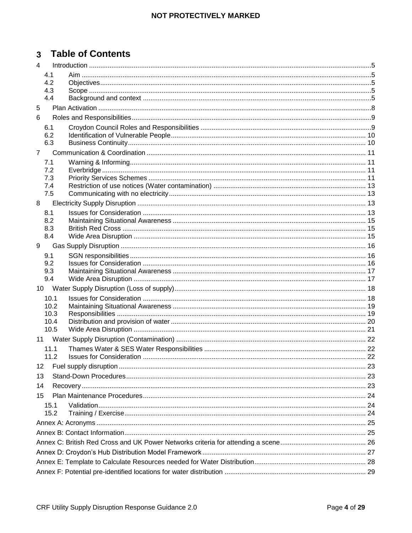# 3 Table of Contents

| $\overline{4}$ |              |  |  |  |
|----------------|--------------|--|--|--|
|                | 4.1          |  |  |  |
|                | 4.2          |  |  |  |
|                | 4.3          |  |  |  |
|                | 4.4          |  |  |  |
| 5              |              |  |  |  |
| 6              |              |  |  |  |
|                | 6.1          |  |  |  |
|                | 6.2          |  |  |  |
|                | 6.3          |  |  |  |
| $\overline{7}$ |              |  |  |  |
|                | 7.1          |  |  |  |
|                | 7.2          |  |  |  |
|                | 7.3          |  |  |  |
|                | 7.4          |  |  |  |
|                | 7.5          |  |  |  |
| 8              |              |  |  |  |
|                | 8.1          |  |  |  |
|                | 8.2          |  |  |  |
|                | 8.3          |  |  |  |
|                | 8.4          |  |  |  |
| 9              |              |  |  |  |
|                | 9.1          |  |  |  |
|                | 9.2          |  |  |  |
|                | 9.3<br>9.4   |  |  |  |
|                |              |  |  |  |
|                |              |  |  |  |
|                | 10.1<br>10.2 |  |  |  |
|                | 10.3         |  |  |  |
|                | 10.4         |  |  |  |
|                | 10.5         |  |  |  |
|                |              |  |  |  |
|                | 11.1         |  |  |  |
|                | 11.2         |  |  |  |
|                |              |  |  |  |
| 13             |              |  |  |  |
| 14             |              |  |  |  |
| 15             |              |  |  |  |
|                | 15.1         |  |  |  |
|                | 15.2         |  |  |  |
|                |              |  |  |  |
|                |              |  |  |  |
|                |              |  |  |  |
|                |              |  |  |  |
|                |              |  |  |  |
|                |              |  |  |  |
|                |              |  |  |  |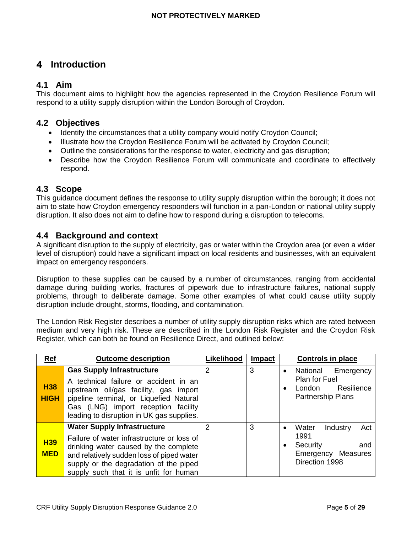# <span id="page-4-0"></span>**Introduction**

# <span id="page-4-1"></span>**4.1 Aim**

This document aims to highlight how the agencies represented in the Croydon Resilience Forum will respond to a utility supply disruption within the London Borough of Croydon.

# <span id="page-4-2"></span>**4.2 Objectives**

- Identify the circumstances that a utility company would notify Croydon Council;
- Illustrate how the Croydon Resilience Forum will be activated by Croydon Council;
- Outline the considerations for the response to water, electricity and gas disruption;
- Describe how the Croydon Resilience Forum will communicate and coordinate to effectively respond.

# <span id="page-4-3"></span>**4.3 Scope**

This guidance document defines the response to utility supply disruption within the borough; it does not aim to state how Croydon emergency responders will function in a pan-London or national utility supply disruption. It also does not aim to define how to respond during a disruption to telecoms.

# <span id="page-4-4"></span>**4.4 Background and context**

A significant disruption to the supply of electricity, gas or water within the Croydon area (or even a wider level of disruption) could have a significant impact on local residents and businesses, with an equivalent impact on emergency responders.

Disruption to these supplies can be caused by a number of circumstances, ranging from accidental damage during building works, fractures of pipework due to infrastructure failures, national supply problems, through to deliberate damage. Some other examples of what could cause utility supply disruption include drought, storms, flooding, and contamination.

The London Risk Register describes a number of utility supply disruption risks which are rated between medium and very high risk. These are described in the London Risk Register and the Croydon Risk Register, which can both be found on Resilience Direct, and outlined below:

| <b>Ref</b>                | <b>Outcome description</b>                                                                                                                                                                                                                                 | Likelihood    | <b>Impact</b> | Controls in place                                                                                              |
|---------------------------|------------------------------------------------------------------------------------------------------------------------------------------------------------------------------------------------------------------------------------------------------------|---------------|---------------|----------------------------------------------------------------------------------------------------------------|
| <b>H38</b><br><b>HIGH</b> | <b>Gas Supply Infrastructure</b><br>A technical failure or accident in an<br>upstream oil/gas facility, gas import<br>pipeline terminal, or Liquefied Natural<br>Gas (LNG) import reception facility<br>leading to disruption in UK gas supplies.          | 2             | 3             | National<br>Emergency<br>$\bullet$<br><b>Plan for Fuel</b><br>Resilience<br>London<br><b>Partnership Plans</b> |
| <b>H39</b><br><b>MED</b>  | <b>Water Supply Infrastructure</b><br>Failure of water infrastructure or loss of<br>drinking water caused by the complete<br>and relatively sudden loss of piped water<br>supply or the degradation of the piped<br>supply such that it is unfit for human | $\mathcal{P}$ | 3             | Water<br>Industry<br>Act<br>1991<br>Security<br>and<br>Emergency Measures<br>Direction 1998                    |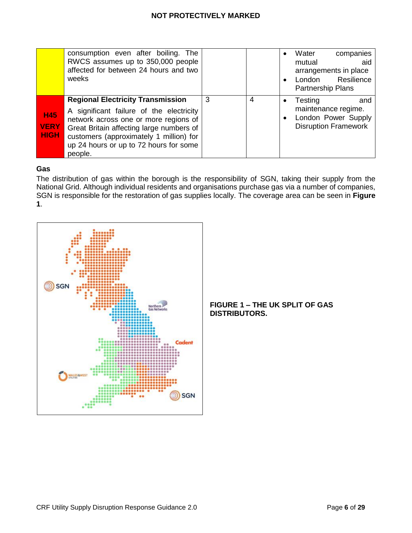|                                          | consumption even after boiling. The<br>RWCS assumes up to 350,000 people<br>affected for between 24 hours and two<br>weeks                                                                                                                                                |   |   | companies<br>Water<br>aid<br>mutual<br>arrangements in place<br>Resilience<br>London<br>Partnership Plans |
|------------------------------------------|---------------------------------------------------------------------------------------------------------------------------------------------------------------------------------------------------------------------------------------------------------------------------|---|---|-----------------------------------------------------------------------------------------------------------|
| <b>H45</b><br><b>VERY</b><br><b>HIGH</b> | <b>Regional Electricity Transmission</b><br>A significant failure of the electricity<br>network across one or more regions of<br>Great Britain affecting large numbers of<br>customers (approximately 1 million) for<br>up 24 hours or up to 72 hours for some<br>people. | 3 | 4 | Testing<br>and<br>maintenance regime.<br>London Power Supply<br><b>Disruption Framework</b>               |

#### **Gas**

The distribution of gas within the borough is the responsibility of SGN, taking their supply from the National Grid. Although individual residents and organisations purchase gas via a number of companies, SGN is responsible for the restoration of gas supplies locally. The coverage area can be seen in **Figure 1**.



#### **FIGURE 1 – THE UK SPLIT OF GAS DISTRIBUTORS.**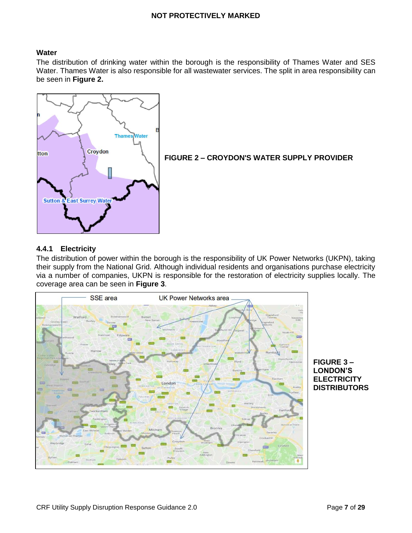#### **Water**

The distribution of drinking water within the borough is the responsibility of Thames Water and SES Water. Thames Water is also responsible for all wastewater services. The split in area responsibility can be seen in **Figure 2.**



**FIGURE 2 – CROYDON'S WATER SUPPLY PROVIDER**

#### **4.4.1 Electricity**

The distribution of power within the borough is the responsibility of UK Power Networks (UKPN), taking their supply from the National Grid. Although individual residents and organisations purchase electricity via a number of companies, UKPN is responsible for the restoration of electricity supplies locally. The coverage area can be seen in **Figure 3**.



**FIGURE 3 – LONDON'S ELECTRICITY DISTRIBUTORS**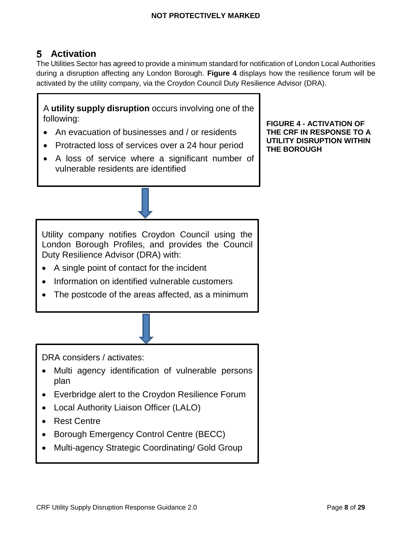# <span id="page-7-0"></span>**Activation**

The Utilities Sector has agreed to provide a minimum standard for notification of London Local Authorities during a disruption affecting any London Borough. **Figure 4** displays how the resilience forum will be activated by the utility company, via the Croydon Council Duty Resilience Advisor (DRA).

A **utility supply disruption** occurs involving one of the following:

- An evacuation of businesses and / or residents
- Protracted loss of services over a 24 hour period
- A loss of service where a significant number of vulnerable residents are identified

**FIGURE 4 - ACTIVATION OF THE CRF IN RESPONSE TO A UTILITY DISRUPTION WITHIN THE BOROUGH**

Utility company notifies Croydon Council using the London Borough Profiles, and provides the Council Duty Resilience Advisor (DRA) with:

- A single point of contact for the incident
- Information on identified vulnerable customers
- The postcode of the areas affected, as a minimum

DRA considers / activates:

- Multi agency identification of vulnerable persons plan
- Everbridge alert to the Croydon Resilience Forum
- Local Authority Liaison Officer (LALO)
- Rest Centre
- Borough Emergency Control Centre (BECC)
- Multi-agency Strategic Coordinating/ Gold Group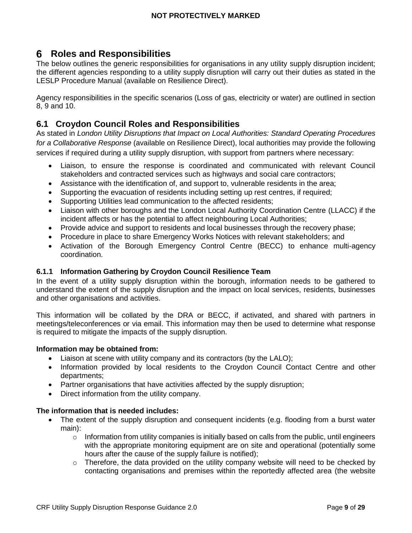# <span id="page-8-1"></span>**Roles and Responsibilities**

The below outlines the generic responsibilities for organisations in any utility supply disruption incident; the different agencies responding to a utility supply disruption will carry out their duties as stated in the LESLP Procedure Manual (available on Resilience Direct).

Agency responsibilities in the specific scenarios (Loss of gas, electricity or water) are outlined in section 8, 9 and 10.

# <span id="page-8-2"></span>**6.1 Croydon Council Roles and Responsibilities**

As stated in *London Utility Disruptions that Impact on Local Authorities: Standard Operating Procedures for a Collaborative Response* (available on Resilience Direct), local authorities may provide the following services if required during a utility supply disruption, with support from partners where necessary:

- Liaison, to ensure the response is coordinated and communicated with relevant Council stakeholders and contracted services such as highways and social care contractors;
- Assistance with the identification of, and support to, vulnerable residents in the area;
- Supporting the evacuation of residents including setting up rest centres, if required;
- Supporting Utilities lead communication to the affected residents;
- Liaison with other boroughs and the London Local Authority Coordination Centre (LLACC) if the incident affects or has the potential to affect neighbouring Local Authorities;
- Provide advice and support to residents and local businesses through the recovery phase;
- Procedure in place to share Emergency Works Notices with relevant stakeholders; and
- Activation of the Borough Emergency Control Centre (BECC) to enhance multi-agency coordination.

#### <span id="page-8-0"></span>**6.1.1 Information Gathering by Croydon Council Resilience Team**

In the event of a utility supply disruption within the borough, information needs to be gathered to understand the extent of the supply disruption and the impact on local services, residents, businesses and other organisations and activities.

This information will be collated by the DRA or BECC, if activated, and shared with partners in meetings/teleconferences or via email. This information may then be used to determine what response is required to mitigate the impacts of the supply disruption.

#### **Information may be obtained from:**

- Liaison at scene with utility company and its contractors (by the LALO);
- Information provided by local residents to the Croydon Council Contact Centre and other departments;
- Partner organisations that have activities affected by the supply disruption;
- Direct information from the utility company.

#### **The information that is needed includes:**

- The extent of the supply disruption and consequent incidents (e.g. flooding from a burst water main):
	- $\circ$  Information from utility companies is initially based on calls from the public, until engineers with the appropriate monitoring equipment are on site and operational (potentially some hours after the cause of the supply failure is notified);
	- o Therefore, the data provided on the utility company website will need to be checked by contacting organisations and premises within the reportedly affected area (the website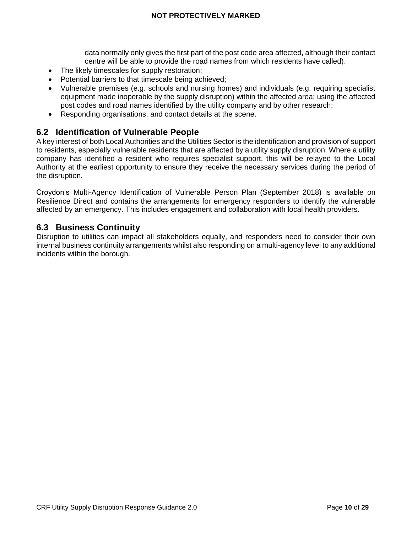data normally only gives the first part of the post code area affected, although their contact centre will be able to provide the road names from which residents have called).

- The likely timescales for supply restoration;
- Potential barriers to that timescale being achieved;
- Vulnerable premises (e.g. schools and nursing homes) and individuals (e.g. requiring specialist equipment made inoperable by the supply disruption) within the affected area; using the affected post codes and road names identified by the utility company and by other research;
- Responding organisations, and contact details at the scene.

## <span id="page-9-0"></span>**6.2 Identification of Vulnerable People**

A key interest of both Local Authorities and the Utilities Sector is the identification and provision of support to residents, especially vulnerable residents that are affected by a utility supply disruption. Where a utility company has identified a resident who requires specialist support, this will be relayed to the Local Authority at the earliest opportunity to ensure they receive the necessary services during the period of the disruption.

Croydon's Multi-Agency Identification of Vulnerable Person Plan (September 2018) is available on Resilience Direct and contains the arrangements for emergency responders to identify the vulnerable affected by an emergency. This includes engagement and collaboration with local health providers.

# <span id="page-9-1"></span>**6.3 Business Continuity**

Disruption to utilities can impact all stakeholders equally, and responders need to consider their own internal business continuity arrangements whilst also responding on a multi-agency level to any additional incidents within the borough.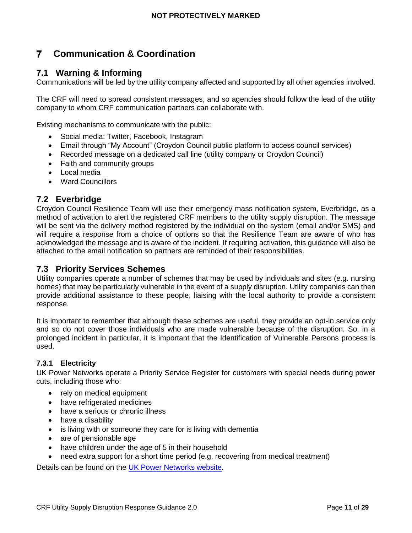#### <span id="page-10-0"></span>**Communication & Coordination**  $\overline{ }$

# <span id="page-10-1"></span>**7.1 Warning & Informing**

Communications will be led by the utility company affected and supported by all other agencies involved.

The CRF will need to spread consistent messages, and so agencies should follow the lead of the utility company to whom CRF communication partners can collaborate with.

Existing mechanisms to communicate with the public:

- Social media: Twitter, Facebook, Instagram
- Email through "My Account" (Croydon Council public platform to access council services)
- Recorded message on a dedicated call line (utility company or Croydon Council)
- Faith and community groups
- Local media
- Ward Councillors

#### <span id="page-10-2"></span>**7.2 Everbridge**

Croydon Council Resilience Team will use their emergency mass notification system, Everbridge, as a method of activation to alert the registered CRF members to the utility supply disruption. The message will be sent via the delivery method registered by the individual on the system (email and/or SMS) and will require a response from a choice of options so that the Resilience Team are aware of who has acknowledged the message and is aware of the incident. If requiring activation, this guidance will also be attached to the email notification so partners are reminded of their responsibilities.

## <span id="page-10-3"></span>**7.3 Priority Services Schemes**

Utility companies operate a number of schemes that may be used by individuals and sites (e.g. nursing homes) that may be particularly vulnerable in the event of a supply disruption. Utility companies can then provide additional assistance to these people, liaising with the local authority to provide a consistent response.

It is important to remember that although these schemes are useful, they provide an opt-in service only and so do not cover those individuals who are made vulnerable because of the disruption. So, in a prolonged incident in particular, it is important that the Identification of Vulnerable Persons process is used.

#### **7.3.1 Electricity**

UK Power Networks operate a Priority Service Register for customers with special needs during power cuts, including those who:

- rely on medical equipment
- have refrigerated medicines
- have a serious or chronic illness
- have a disability
- is living with or someone they care for is living with dementia
- are of pensionable age
- have children under the age of 5 in their household
- need extra support for a short time period (e.g. recovering from medical treatment)

Details can be found on the [UK Power Networks website.](https://www.ukpowernetworks.co.uk/power-cut/priority-services-register)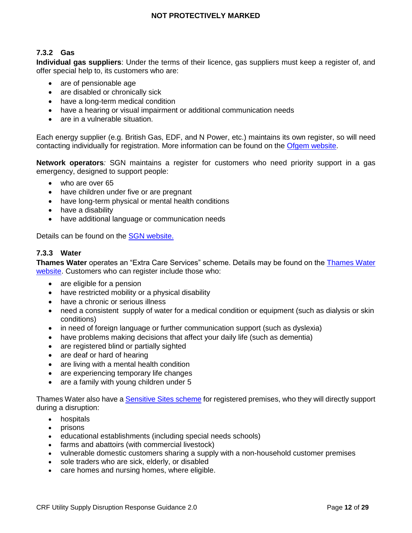#### **7.3.2 Gas**

**Individual gas suppliers**: Under the terms of their licence, gas suppliers must keep a register of, and offer special help to, its customers who are:

- are of pensionable age
- are disabled or chronically sick
- have a long-term medical condition
- have a hearing or visual impairment or additional communication needs
- are in a vulnerable situation.

Each energy supplier (e.g. British Gas, EDF, and N Power, etc.) maintains its own register, so will need contacting individually for registration. More information can be found on the [Ofgem website.](https://www.ofgem.gov.uk/consumers/household-gas-and-electricity-guide/extra-help-energy-services/priority-services-register-people-need)

**Network operators***:* SGN maintains a register for customers who need priority support in a gas emergency, designed to support people:

- who are over 65
- have children under five or are pregnant
- have long-term physical or mental health conditions
- have a disability
- have additional language or communication needs

Details can be found on the **SGN** website.

#### **7.3.3 Water**

**Thames Water** operates an "Extra Care Services" scheme. Details may be found on the [Thames Water](https://www.thameswater.co.uk/help-and-advice/customer-commitment/priority-services)  [website.](https://www.thameswater.co.uk/help-and-advice/customer-commitment/priority-services) Customers who can register include those who:

- are eligible for a pension
- have restricted mobility or a physical disability
- have a chronic or serious illness
- need a consistent supply of water for a medical condition or equipment (such as dialysis or skin conditions)
- in need of foreign language or further communication support (such as dyslexia)
- have problems making decisions that affect your daily life (such as dementia)
- are registered blind or partially sighted
- are deaf or hard of hearing
- are living with a mental health condition
- are experiencing temporary life changes
- are a family with young children under 5

Thames Water also have a **Sensitive Sites scheme** for registered premises, who they will directly support during a disruption:

- hospitals
- $\bullet$  prisons
- educational establishments (including special needs schools)
- farms and abattoirs (with commercial livestock)
- vulnerable domestic customers sharing a supply with a non-household customer premises
- sole traders who are sick, elderly, or disabled
- care homes and nursing homes, where eligible.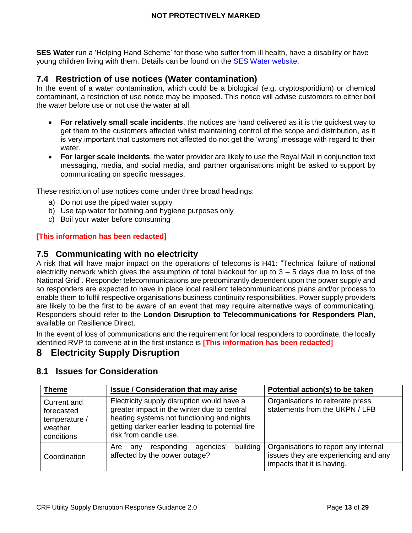**SES Water** run a 'Helping Hand Scheme' for those who suffer from ill health, have a disability or have young children living with them. Details can be found on the [SES Water](https://www.waterplc.com/pages/home/your-bill-and-account/helping-hand-scheme/) website.

# <span id="page-12-1"></span>**7.4 Restriction of use notices (Water contamination)**

In the event of a water contamination, which could be a biological (e.g. cryptosporidium) or chemical contaminant, a restriction of use notice may be imposed. This notice will advise customers to either boil the water before use or not use the water at all.

- **For relatively small scale incidents**, the notices are hand delivered as it is the quickest way to get them to the customers affected whilst maintaining control of the scope and distribution, as it is very important that customers not affected do not get the 'wrong' message with regard to their water.
- **For larger scale incidents**, the water provider are likely to use the Royal Mail in conjunction text messaging, media, and social media, and partner organisations might be asked to support by communicating on specific messages.

These restriction of use notices come under three broad headings:

- a) Do not use the piped water supply
- b) Use tap water for bathing and hygiene purposes only
- c) Boil your water before consuming

#### **[This information has been redacted]**

#### <span id="page-12-2"></span>**7.5 Communicating with no electricity**

A risk that will have major impact on the operations of telecoms is H41: "Technical failure of national electricity network which gives the assumption of total blackout for up to  $3 - 5$  days due to loss of the National Grid". Responder telecommunications are predominantly dependent upon the power supply and so responders are expected to have in place local resilient telecommunications plans and/or process to enable them to fulfil respective organisations business continuity responsibilities. Power supply providers are likely to be the first to be aware of an event that may require alternative ways of communicating. Responders should refer to the **London Disruption to Telecommunications for Responders Plan**, available on Resilience Direct.

In the event of loss of communications and the requirement for local responders to coordinate, the locally identified RVP to convene at in the first instance is **[This information has been redacted]**

#### <span id="page-12-0"></span>**Electricity Supply Disruption** 8

| <b>Theme</b>                                                        | <b>Issue / Consideration that may arise</b>                                                                                                                                                                          | Potential action(s) to be taken                                                                            |
|---------------------------------------------------------------------|----------------------------------------------------------------------------------------------------------------------------------------------------------------------------------------------------------------------|------------------------------------------------------------------------------------------------------------|
| Current and<br>forecasted<br>temperature /<br>weather<br>conditions | Electricity supply disruption would have a<br>greater impact in the winter due to central<br>heating systems not functioning and nights<br>getting darker earlier leading to potential fire<br>risk from candle use. | Organisations to reiterate press<br>statements from the UKPN / LFB                                         |
| Coordination                                                        | building<br>responding<br>agencies'<br>Are<br>any<br>affected by the power outage?                                                                                                                                   | Organisations to report any internal<br>issues they are experiencing and any<br>impacts that it is having. |

# <span id="page-12-3"></span>**8.1 Issues for Consideration**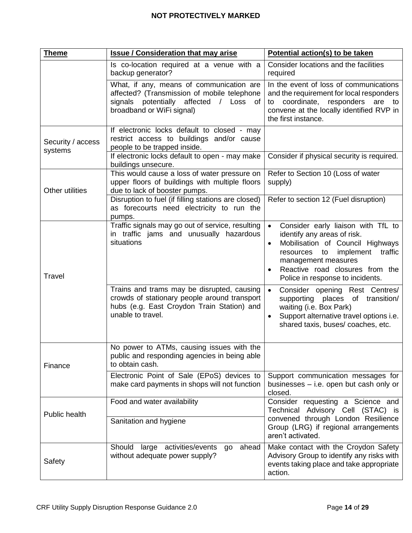| <b>Theme</b>                 | <b>Issue / Consideration that may arise</b>                                                                                                                                | Potential action(s) to be taken                                                                                                                                                                                                                                 |
|------------------------------|----------------------------------------------------------------------------------------------------------------------------------------------------------------------------|-----------------------------------------------------------------------------------------------------------------------------------------------------------------------------------------------------------------------------------------------------------------|
|                              | Is co-location required at a venue with a<br>backup generator?                                                                                                             | Consider locations and the facilities<br>required                                                                                                                                                                                                               |
|                              | What, if any, means of communication are<br>affected? (Transmission of mobile telephone<br>signals potentially affected / Loss of<br>broadband or WiFi signal)             | In the event of loss of communications<br>and the requirement for local responders<br>coordinate, responders are to<br>to<br>convene at the locally identified RVP in<br>the first instance.                                                                    |
| Security / access<br>systems | If electronic locks default to closed - may<br>restrict access to buildings and/or cause<br>people to be trapped inside.<br>If electronic locks default to open - may make | Consider if physical security is required.                                                                                                                                                                                                                      |
|                              | buildings unsecure.                                                                                                                                                        |                                                                                                                                                                                                                                                                 |
| Other utilities              | This would cause a loss of water pressure on<br>upper floors of buildings with multiple floors<br>due to lack of booster pumps.                                            | Refer to Section 10 (Loss of water<br>supply)                                                                                                                                                                                                                   |
|                              | Disruption to fuel (if filling stations are closed)<br>as forecourts need electricity to run the<br>pumps.                                                                 | Refer to section 12 (Fuel disruption)                                                                                                                                                                                                                           |
| <b>Travel</b>                | Traffic signals may go out of service, resulting<br>in traffic jams and unusually hazardous<br>situations                                                                  | Consider early liaison with TfL to<br>$\bullet$<br>identify any areas of risk.<br>Mobilisation of Council Highways<br>$\bullet$<br>resources to implement traffic<br>management measures<br>Reactive road closures from the<br>Police in response to incidents. |
|                              | Trains and trams may be disrupted, causing<br>crowds of stationary people around transport<br>hubs (e.g. East Croydon Train Station) and<br>unable to travel.              | Consider opening Rest Centres/<br>$\bullet$<br>supporting places of transition/<br>waiting (i.e. Box Park)<br>Support alternative travel options i.e.<br>shared taxis, buses/coaches, etc.                                                                      |
| Finance                      | No power to ATMs, causing issues with the<br>public and responding agencies in being able<br>to obtain cash.                                                               |                                                                                                                                                                                                                                                                 |
|                              | Electronic Point of Sale (EPoS) devices to<br>make card payments in shops will not function                                                                                | Support communication messages for<br>businesses - i.e. open but cash only or<br>closed.                                                                                                                                                                        |
| Public health                | Food and water availability                                                                                                                                                | Consider requesting a Science and<br>Technical Advisory Cell (STAC) is                                                                                                                                                                                          |
|                              | Sanitation and hygiene                                                                                                                                                     | convened through London Resilience<br>Group (LRG) if regional arrangements<br>aren't activated.                                                                                                                                                                 |
| Safety                       | Should large activities/events<br>ahead<br>go<br>without adequate power supply?                                                                                            | Make contact with the Croydon Safety<br>Advisory Group to identify any risks with<br>events taking place and take appropriate<br>action.                                                                                                                        |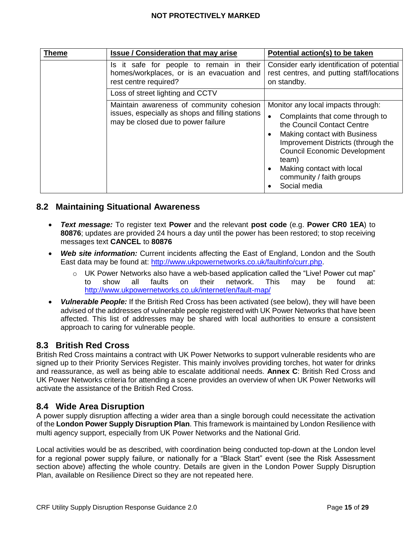| <b>Theme</b> | <b>Issue / Consideration that may arise</b>                                                                                        | Potential action(s) to be taken                                                                                                                                                                                                                                                                    |  |
|--------------|------------------------------------------------------------------------------------------------------------------------------------|----------------------------------------------------------------------------------------------------------------------------------------------------------------------------------------------------------------------------------------------------------------------------------------------------|--|
|              | Is it safe for people to remain in their<br>homes/workplaces, or is an evacuation and<br>rest centre required?                     | Consider early identification of potential<br>rest centres, and putting staff/locations<br>on standby.                                                                                                                                                                                             |  |
|              | Loss of street lighting and CCTV                                                                                                   |                                                                                                                                                                                                                                                                                                    |  |
|              | Maintain awareness of community cohesion<br>issues, especially as shops and filling stations<br>may be closed due to power failure | Monitor any local impacts through:<br>Complaints that come through to<br>the Council Contact Centre<br>Making contact with Business<br>Improvement Districts (through the<br><b>Council Economic Development</b><br>team)<br>Making contact with local<br>community / faith groups<br>Social media |  |

# <span id="page-14-0"></span>**8.2 Maintaining Situational Awareness**

- *Text message:* To register text **Power** and the relevant **post code** (e.g. **Power CR0 1EA**) to **80876**; updates are provided 24 hours a day until the power has been restored; to stop receiving messages text **CANCEL** to **80876**
- *Web site information:* Current incidents affecting the East of England, London and the South East data may be found at: [http://www.ukpowernetworks.co.uk/faultinfo/curr.php.](http://www.ukpowernetworks.co.uk/faultinfo/curr.php)
	- $\circ$  UK Power Networks also have a web-based application called the "Live! Power cut map" to show all faults on their network. This may be found at: <http://www.ukpowernetworks.co.uk/internet/en/fault-map/>
- *Vulnerable People:* If the British Red Cross has been activated (see below), they will have been advised of the addresses of vulnerable people registered with UK Power Networks that have been affected. This list of addresses may be shared with local authorities to ensure a consistent approach to caring for vulnerable people.

## <span id="page-14-1"></span>**8.3 British Red Cross**

British Red Cross maintains a contract with UK Power Networks to support vulnerable residents who are signed up to their Priority Services Register. This mainly involves providing torches, hot water for drinks and reassurance, as well as being able to escalate additional needs. **Annex C**[: British Red Cross and](#page-25-0)  [UK Power Networks criteria for attending a scene](#page-25-0) provides an overview of when UK Power Networks will activate the assistance of the British Red Cross.

## <span id="page-14-2"></span>**8.4 Wide Area Disruption**

A power supply disruption affecting a wider area than a single borough could necessitate the activation of the **London Power Supply Disruption Plan**. This framework is maintained by London Resilience with multi agency support, especially from UK Power Networks and the National Grid.

Local activities would be as described, with coordination being conducted top-down at the London level for a regional power supply failure, or nationally for a "Black Start" event (see the Risk Assessment section above) affecting the whole country. Details are given in the London Power Supply Disruption Plan, available on Resilience Direct so they are not repeated here.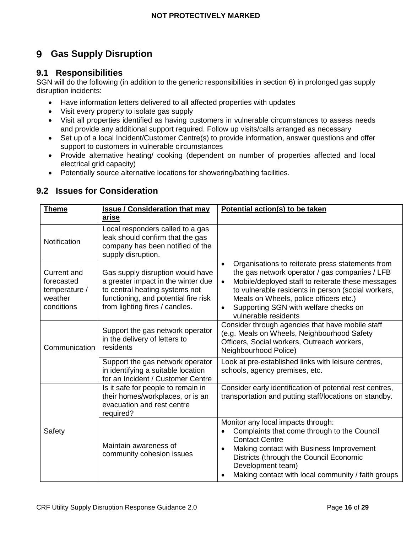#### <span id="page-15-0"></span>**Gas Supply Disruption** 9

# <span id="page-15-1"></span>**9.1 Responsibilities**

SGN will do the following (in addition to the generic responsibilities in section 6) in prolonged gas supply disruption incidents:

- Have information letters delivered to all affected properties with updates
- Visit every property to isolate gas supply
- Visit all properties identified as having customers in vulnerable circumstances to assess needs and provide any additional support required. Follow up visits/calls arranged as necessary
- Set up of a local Incident/Customer Centre(s) to provide information, answer questions and offer support to customers in vulnerable circumstances
- Provide alternative heating/ cooking (dependent on number of properties affected and local electrical grid capacity)
- Potentially source alternative locations for showering/bathing facilities.

# <span id="page-15-2"></span>**9.2 Issues for Consideration**

| <b>Theme</b>                                                               | <b>Issue / Consideration that may</b>                                                                                                                                              | Potential action(s) to be taken                                                                                                                                                                                                                                                                                                                    |
|----------------------------------------------------------------------------|------------------------------------------------------------------------------------------------------------------------------------------------------------------------------------|----------------------------------------------------------------------------------------------------------------------------------------------------------------------------------------------------------------------------------------------------------------------------------------------------------------------------------------------------|
|                                                                            | <u>arise</u>                                                                                                                                                                       |                                                                                                                                                                                                                                                                                                                                                    |
| Notification                                                               | Local responders called to a gas<br>leak should confirm that the gas<br>company has been notified of the<br>supply disruption.                                                     |                                                                                                                                                                                                                                                                                                                                                    |
| <b>Current and</b><br>forecasted<br>temperature /<br>weather<br>conditions | Gas supply disruption would have<br>a greater impact in the winter due<br>to central heating systems not<br>functioning, and potential fire risk<br>from lighting fires / candles. | Organisations to reiterate press statements from<br>$\bullet$<br>the gas network operator / gas companies / LFB<br>Mobile/deployed staff to reiterate these messages<br>$\bullet$<br>to vulnerable residents in person (social workers,<br>Meals on Wheels, police officers etc.)<br>Supporting SGN with welfare checks on<br>vulnerable residents |
| Communication                                                              | Support the gas network operator<br>in the delivery of letters to<br>residents                                                                                                     | Consider through agencies that have mobile staff<br>(e.g. Meals on Wheels, Neighbourhood Safety<br>Officers, Social workers, Outreach workers,<br>Neighbourhood Police)                                                                                                                                                                            |
|                                                                            | Support the gas network operator<br>in identifying a suitable location<br>for an Incident / Customer Centre                                                                        | Look at pre-established links with leisure centres,<br>schools, agency premises, etc.                                                                                                                                                                                                                                                              |
|                                                                            | Is it safe for people to remain in<br>their homes/workplaces, or is an<br>evacuation and rest centre<br>required?                                                                  | Consider early identification of potential rest centres,<br>transportation and putting staff/locations on standby.                                                                                                                                                                                                                                 |
| Safety                                                                     | Maintain awareness of<br>community cohesion issues                                                                                                                                 | Monitor any local impacts through:<br>Complaints that come through to the Council<br>$\bullet$<br><b>Contact Centre</b><br>Making contact with Business Improvement<br>Districts (through the Council Economic<br>Development team)<br>Making contact with local community / faith groups                                                          |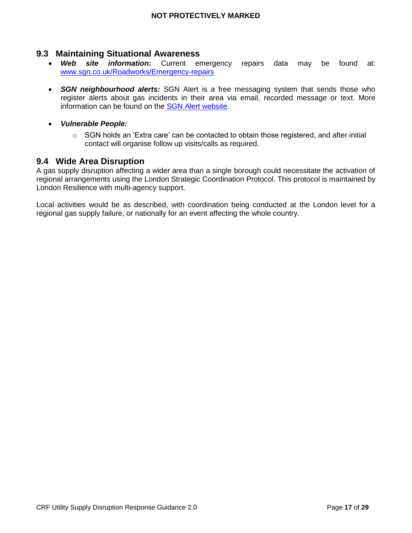## <span id="page-16-0"></span>**9.3 Maintaining Situational Awareness**

- *Web site information:* Current emergency repairs data may be found at: [www.sgn.co.uk/Roadworks/Emergency-repairs](http://www.sgn.co.uk/Roadworks/Emergency-repairs)
- *SGN neighbourhood alerts:* SGN Alert is a free messaging system that sends those who register alerts about gas incidents in their area via email, recorded message or text. More information can be found on the **SGN Alert website**.
- *Vulnerable People:*
	- $\circ$  SGN holds an 'Extra care' can be contacted to obtain those registered, and after initial contact will organise follow up visits/calls as required.

#### <span id="page-16-1"></span>**9.4 Wide Area Disruption**

A gas supply disruption affecting a wider area than a single borough could necessitate the activation of regional arrangements using the London Strategic Coordination Protocol. This protocol is maintained by London Resilience with multi-agency support.

Local activities would be as described, with coordination being conducted at the London level for a regional gas supply failure, or nationally for an event affecting the whole country.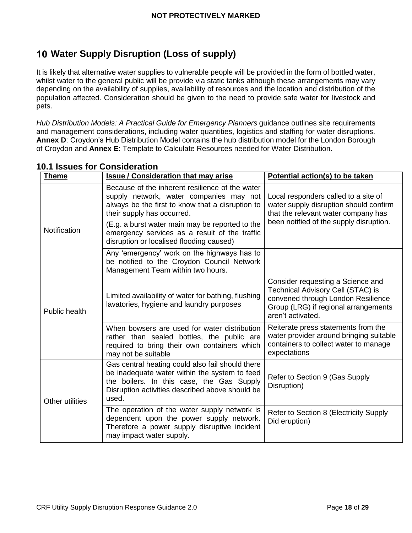# <span id="page-17-0"></span>**Water Supply Disruption (Loss of supply)**

It is likely that alternative water supplies to vulnerable people will be provided in the form of bottled water, whilst water to the general public will be provide via static tanks although these arrangements may vary depending on the availability of supplies, availability of resources and the location and distribution of the population affected. Consideration should be given to the need to provide safe water for livestock and pets.

*Hub Distribution Models: A Practical Guide for Emergency Planners* guidance outlines site requirements and management considerations, including water quantities, logistics and staffing for water disruptions. **Annex D**[: Croydon's Hub Distribution Model](#page-26-0) contains the hub distribution model for the London Borough of Croydon and **Annex E**[: Template to Calculate Resources needed for Water Distribution.](#page-27-0)

| <b>Theme</b>        | <b>Issue / Consideration that may arise</b>                                                                                                                                                                                                                                      | Potential action(s) to be taken                                                                                                                                           |
|---------------------|----------------------------------------------------------------------------------------------------------------------------------------------------------------------------------------------------------------------------------------------------------------------------------|---------------------------------------------------------------------------------------------------------------------------------------------------------------------------|
| <b>Notification</b> | Because of the inherent resilience of the water<br>supply network, water companies may not<br>always be the first to know that a disruption to<br>their supply has occurred.<br>(E.g. a burst water main may be reported to the<br>emergency services as a result of the traffic | Local responders called to a site of<br>water supply disruption should confirm<br>that the relevant water company has<br>been notified of the supply disruption.          |
|                     | disruption or localised flooding caused)<br>Any 'emergency' work on the highways has to<br>be notified to the Croydon Council Network<br>Management Team within two hours.                                                                                                       |                                                                                                                                                                           |
| Public health       | Limited availability of water for bathing, flushing<br>lavatories, hygiene and laundry purposes                                                                                                                                                                                  | Consider requesting a Science and<br>Technical Advisory Cell (STAC) is<br>convened through London Resilience<br>Group (LRG) if regional arrangements<br>aren't activated. |
|                     | When bowsers are used for water distribution<br>rather than sealed bottles, the public are<br>required to bring their own containers which<br>may not be suitable                                                                                                                | Reiterate press statements from the<br>water provider around bringing suitable<br>containers to collect water to manage<br>expectations                                   |
| Other utilities     | Gas central heating could also fail should there<br>be inadequate water within the system to feed<br>the boilers. In this case, the Gas Supply<br>Disruption activities described above should be<br>used.                                                                       | Refer to Section 9 (Gas Supply<br>Disruption)                                                                                                                             |
|                     | The operation of the water supply network is<br>dependent upon the power supply network.<br>Therefore a power supply disruptive incident<br>may impact water supply.                                                                                                             | Refer to Section 8 (Electricity Supply<br>Did eruption)                                                                                                                   |

# <span id="page-17-1"></span>**10.1 Issues for Consideration**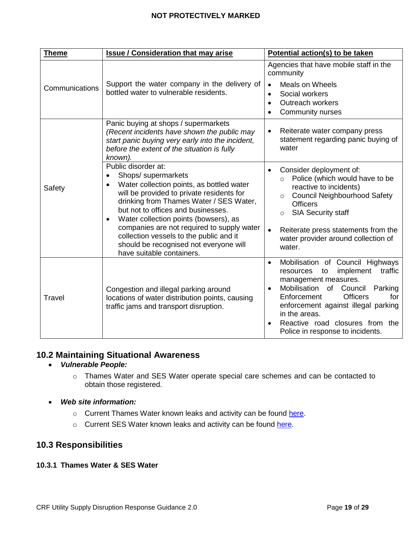| <b>Theme</b>   | <b>Issue / Consideration that may arise</b>                                                                                                                                                                                                                                                                                                                                                                                                                   | Potential action(s) to be taken                                                                                                                                                                                                                                                                                      |  |
|----------------|---------------------------------------------------------------------------------------------------------------------------------------------------------------------------------------------------------------------------------------------------------------------------------------------------------------------------------------------------------------------------------------------------------------------------------------------------------------|----------------------------------------------------------------------------------------------------------------------------------------------------------------------------------------------------------------------------------------------------------------------------------------------------------------------|--|
|                |                                                                                                                                                                                                                                                                                                                                                                                                                                                               | Agencies that have mobile staff in the<br>community                                                                                                                                                                                                                                                                  |  |
| Communications | Support the water company in the delivery of<br>bottled water to vulnerable residents.                                                                                                                                                                                                                                                                                                                                                                        | <b>Meals on Wheels</b><br>$\bullet$<br>Social workers<br>$\bullet$                                                                                                                                                                                                                                                   |  |
|                |                                                                                                                                                                                                                                                                                                                                                                                                                                                               | Outreach workers<br>$\bullet$                                                                                                                                                                                                                                                                                        |  |
|                |                                                                                                                                                                                                                                                                                                                                                                                                                                                               | Community nurses<br>$\bullet$                                                                                                                                                                                                                                                                                        |  |
| Safety         | Panic buying at shops / supermarkets<br>(Recent incidents have shown the public may<br>start panic buying very early into the incident,<br>before the extent of the situation is fully<br>known).                                                                                                                                                                                                                                                             | Reiterate water company press<br>$\bullet$<br>statement regarding panic buying of<br>water                                                                                                                                                                                                                           |  |
|                | Public disorder at:<br>Shops/ supermarkets<br>$\bullet$<br>Water collection points, as bottled water<br>$\bullet$<br>will be provided to private residents for<br>drinking from Thames Water / SES Water,<br>but not to offices and businesses.<br>Water collection points (bowsers), as<br>٠<br>companies are not required to supply water<br>collection vessels to the public and it<br>should be recognised not everyone will<br>have suitable containers. | Consider deployment of:<br>$\bullet$<br>Police (which would have to be<br>$\circ$<br>reactive to incidents)<br><b>Council Neighbourhood Safety</b><br>$\circ$<br><b>Officers</b><br><b>SIA Security staff</b><br>$\circ$                                                                                             |  |
|                |                                                                                                                                                                                                                                                                                                                                                                                                                                                               | Reiterate press statements from the<br>water provider around collection of<br>water.                                                                                                                                                                                                                                 |  |
| Travel         | Congestion and illegal parking around<br>locations of water distribution points, causing<br>traffic jams and transport disruption.                                                                                                                                                                                                                                                                                                                            | Mobilisation of Council Highways<br>$\bullet$<br>implement<br>traffic<br>resources<br>to<br>management measures.<br>Mobilisation of Council<br>Parking<br>$\bullet$<br><b>Officers</b><br>Enforcement<br>for<br>enforcement against illegal parking<br>in the areas.<br>Reactive road closures from the<br>$\bullet$ |  |
|                |                                                                                                                                                                                                                                                                                                                                                                                                                                                               | Police in response to incidents.                                                                                                                                                                                                                                                                                     |  |

## <span id="page-18-0"></span>**10.2 Maintaining Situational Awareness**

#### *Vulnerable People:*

o Thames Water and SES Water operate special care schemes and can be contacted to obtain those registered.

#### *Web site information:*

- o Current Thames Water known leaks and activity can be found [here.](https://www.thameswater.co.uk/sitecore/content/tw-live/tw-live)
- o Current SES Water known leaks and activity can be found [here.](https://www.waterplc.com/pages/news/current-works/)

# <span id="page-18-1"></span>**10.3 Responsibilities**

#### **10.3.1 Thames Water & SES Water**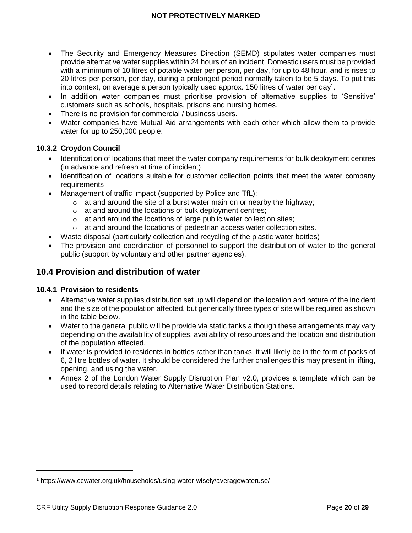- The Security and Emergency Measures Direction (SEMD) stipulates water companies must provide alternative water supplies within 24 hours of an incident. Domestic users must be provided with a minimum of 10 litres of potable water per person, per day, for up to 48 hour, and is rises to 20 litres per person, per day, during a prolonged period normally taken to be 5 days. To put this into context, on average a person typically used approx. 150 litres of water per day<sup>1</sup>.
- In addition water companies must prioritise provision of alternative supplies to 'Sensitive' customers such as schools, hospitals, prisons and nursing homes.
- There is no provision for commercial / business users.
- Water companies have Mutual Aid arrangements with each other which allow them to provide water for up to 250,000 people.

#### **10.3.2 Croydon Council**

- Identification of locations that meet the water company requirements for bulk deployment centres (in advance and refresh at time of incident)
- Identification of locations suitable for customer collection points that meet the water company requirements
- Management of traffic impact (supported by Police and TfL):
	- $\circ$  at and around the site of a burst water main on or nearby the highway;
	- o at and around the locations of bulk deployment centres;
	- $\circ$  at and around the locations of large public water collection sites;
	- o at and around the locations of pedestrian access water collection sites.
- Waste disposal (particularly collection and recycling of the plastic water bottles)
- The provision and coordination of personnel to support the distribution of water to the general public (support by voluntary and other partner agencies).

# <span id="page-19-0"></span>**10.4 Provision and distribution of water**

#### **10.4.1 Provision to residents**

- Alternative water supplies distribution set up will depend on the location and nature of the incident and the size of the population affected, but generically three types of site will be required as shown in the table below.
- Water to the general public will be provide via static tanks although these arrangements may vary depending on the availability of supplies, availability of resources and the location and distribution of the population affected.
- If water is provided to residents in bottles rather than tanks, it will likely be in the form of packs of 6, 2 litre bottles of water. It should be considered the further challenges this may present in lifting, opening, and using the water.
- Annex 2 of the London Water Supply Disruption Plan v2.0, provides a template which can be used to record details relating to Alternative Water Distribution Stations.

<sup>1</sup> https://www.ccwater.org.uk/households/using-water-wisely/averagewateruse/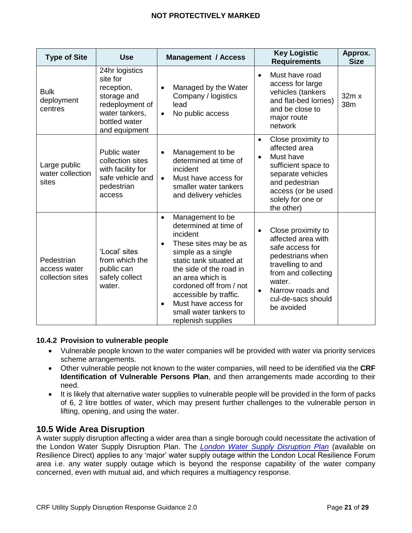| <b>Type of Site</b>                            | <b>Use</b>                                                                                                                     | <b>Management / Access</b>                                                                                                                                                                                                                                                                                               | <b>Key Logistic</b><br><b>Requirements</b>                                                                                                                                                                              | Approx.<br><b>Size</b> |
|------------------------------------------------|--------------------------------------------------------------------------------------------------------------------------------|--------------------------------------------------------------------------------------------------------------------------------------------------------------------------------------------------------------------------------------------------------------------------------------------------------------------------|-------------------------------------------------------------------------------------------------------------------------------------------------------------------------------------------------------------------------|------------------------|
| <b>Bulk</b><br>deployment<br>centres           | 24hr logistics<br>site for<br>reception,<br>storage and<br>redeployment of<br>water tankers,<br>bottled water<br>and equipment | Managed by the Water<br>Company / logistics<br>lead<br>No public access<br>$\bullet$                                                                                                                                                                                                                                     | Must have road<br>$\bullet$<br>access for large<br>vehicles (tankers<br>and flat-bed lorries)<br>and be close to<br>major route<br>network                                                                              | 32m x<br>38m           |
| Large public<br>water collection<br>sites      | Public water<br>collection sites<br>with facility for<br>safe vehicle and<br>pedestrian<br>access                              | Management to be<br>$\bullet$<br>determined at time of<br>incident<br>Must have access for<br>$\bullet$<br>smaller water tankers<br>and delivery vehicles                                                                                                                                                                | Close proximity to<br>$\bullet$<br>affected area<br>Must have<br>$\bullet$<br>sufficient space to<br>separate vehicles<br>and pedestrian<br>access (or be used<br>solely for one or<br>the other)                       |                        |
| Pedestrian<br>access water<br>collection sites | 'Local' sites<br>from which the<br>public can<br>safely collect<br>water.                                                      | Management to be<br>$\bullet$<br>determined at time of<br>incident<br>These sites may be as<br>simple as a single<br>static tank situated at<br>the side of the road in<br>an area which is<br>cordoned off from / not<br>accessible by traffic.<br>Must have access for<br>small water tankers to<br>replenish supplies | Close proximity to<br>$\bullet$<br>affected area with<br>safe access for<br>pedestrians when<br>travelling to and<br>from and collecting<br>water.<br>Narrow roads and<br>$\bullet$<br>cul-de-sacs should<br>be avoided |                        |

#### **10.4.2 Provision to vulnerable people**

- Vulnerable people known to the water companies will be provided with water via priority services scheme arrangements.
- Other vulnerable people not known to the water companies, will need to be identified via the **CRF Identification of Vulnerable Persons Plan**, and then arrangements made according to their need.
- It is likely that alternative water supplies to vulnerable people will be provided in the form of packs of 6, 2 litre bottles of water, which may present further challenges to the vulnerable person in lifting, opening, and using the water.

# <span id="page-20-0"></span>**10.5 Wide Area Disruption**

A water supply disruption affecting a wider area than a single borough could necessitate the activation of the London Water Supply Disruption Plan. The *[London Water Supply Disruption Plan](https://www.london.gov.uk/sites/default/files/london_water_supply_disruption_plan_v2.0.pdf)* (available on Resilience Direct) applies to any 'major' water supply outage within the London Local Resilience Forum area i.e. any water supply outage which is beyond the response capability of the water company concerned, even with mutual aid, and which requires a multiagency response.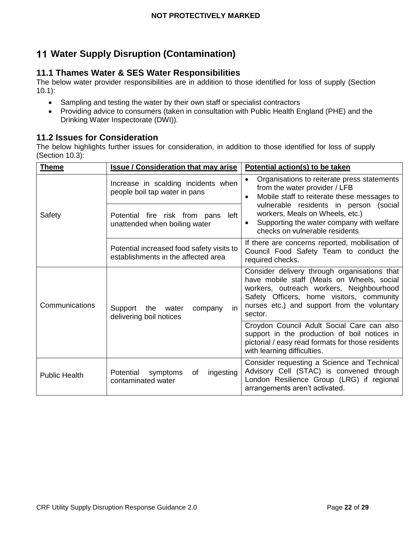# <span id="page-21-0"></span>**Water Supply Disruption (Contamination)**

# <span id="page-21-1"></span>**11.1 Thames Water & SES Water Responsibilities**

The below water provider responsibilities are in addition to those identified for loss of supply (Section 10.1):

- Sampling and testing the water by their own staff or specialist contractors
- Providing advice to consumers (taken in consultation with Public Health England (PHE) and the Drinking Water Inspectorate (DWI)).

# <span id="page-21-2"></span>**11.2 Issues for Consideration**

The below highlights further issues for consideration, in addition to those identified for loss of supply (Section 10.3):

| <b>Theme</b>         | <b>Issue / Consideration that may arise</b>                                      | Potential action(s) to be taken                                                                                                                                                                                                               |  |
|----------------------|----------------------------------------------------------------------------------|-----------------------------------------------------------------------------------------------------------------------------------------------------------------------------------------------------------------------------------------------|--|
| Safety               | Increase in scalding incidents when<br>people boil tap water in pans             | Organisations to reiterate press statements<br>from the water provider / LFB<br>Mobile staff to reiterate these messages to<br>$\bullet$                                                                                                      |  |
|                      | left<br>Potential fire risk from pans<br>unattended when boiling water           | vulnerable residents in person (social<br>workers, Meals on Wheels, etc.)<br>Supporting the water company with welfare<br>$\bullet$<br>checks on vulnerable residents                                                                         |  |
|                      | Potential increased food safety visits to<br>establishments in the affected area | If there are concerns reported, mobilisation of<br>Council Food Safety Team to conduct the<br>required checks.                                                                                                                                |  |
| Communications       | Support<br>in<br>the<br>water<br>company<br>delivering boil notices              | Consider delivery through organisations that<br>have mobile staff (Meals on Wheels, social<br>workers, outreach workers, Neighbourhood<br>Safety Officers, home visitors, community<br>nurses etc.) and support from the voluntary<br>sector. |  |
|                      |                                                                                  | Croydon Council Adult Social Care can also<br>support in the production of boil notices in<br>pictorial / easy read formats for those residents<br>with learning difficulties.                                                                |  |
| <b>Public Health</b> | ingesting<br>Potential<br>symptoms<br>οf<br>contaminated water                   | Consider requesting a Science and Technical<br>Advisory Cell (STAC) is convened through<br>London Resilience Group (LRG) if regional<br>arrangements aren't activated.                                                                        |  |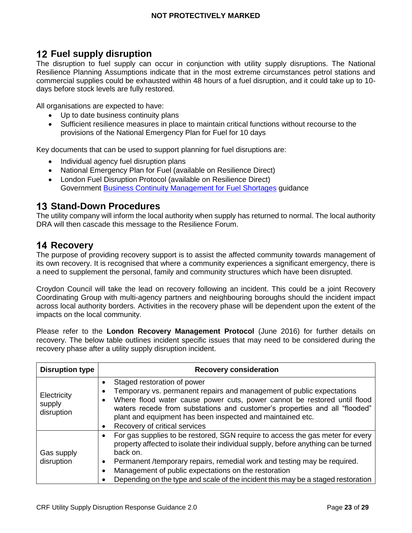# <span id="page-22-0"></span>**Fuel supply disruption**

The disruption to fuel supply can occur in conjunction with utility supply disruptions. The National Resilience Planning Assumptions indicate that in the most extreme circumstances petrol stations and commercial supplies could be exhausted within 48 hours of a fuel disruption, and it could take up to 10 days before stock levels are fully restored.

All organisations are expected to have:

- Up to date business continuity plans
- Sufficient resilience measures in place to maintain critical functions without recourse to the provisions of the National Emergency Plan for Fuel for 10 days

Key documents that can be used to support planning for fuel disruptions are:

- Individual agency fuel disruption plans
- National Emergency Plan for Fuel (available on Resilience Direct)
- London Fuel Disruption Protocol (available on Resilience Direct) Government **Business Continuity Management for Fuel Shortages guidance**

# <span id="page-22-1"></span>**13 Stand-Down Procedures**

The utility company will inform the local authority when supply has returned to normal. The local authority DRA will then cascade this message to the Resilience Forum.

# <span id="page-22-2"></span>**14 Recovery**

The purpose of providing recovery support is to assist the affected community towards management of its own recovery. It is recognised that where a community experiences a significant emergency, there is a need to supplement the personal, family and community structures which have been disrupted.

Croydon Council will take the lead on recovery following an incident. This could be a joint Recovery Coordinating Group with multi-agency partners and neighbouring boroughs should the incident impact across local authority borders. Activities in the recovery phase will be dependent upon the extent of the impacts on the local community.

Please refer to the **London Recovery Management Protocol** (June 2016) for further details on recovery. The below table outlines incident specific issues that may need to be considered during the recovery phase after a utility supply disruption incident.

| <b>Disruption type</b>              | <b>Recovery consideration</b>                                                                                                                                                                                                                                                                                                                                                                             |  |
|-------------------------------------|-----------------------------------------------------------------------------------------------------------------------------------------------------------------------------------------------------------------------------------------------------------------------------------------------------------------------------------------------------------------------------------------------------------|--|
| Electricity<br>supply<br>disruption | Staged restoration of power<br>Temporary vs. permanent repairs and management of public expectations<br>Where flood water cause power cuts, power cannot be restored until flood<br>waters recede from substations and customer's properties and all "flooded"<br>plant and equipment has been inspected and maintained etc.<br>Recovery of critical services                                             |  |
| Gas supply<br>disruption            | For gas supplies to be restored, SGN require to access the gas meter for every<br>property affected to isolate their individual supply, before anything can be turned<br>back on.<br>Permanent /temporary repairs, remedial work and testing may be required.<br>Management of public expectations on the restoration<br>Depending on the type and scale of the incident this may be a staged restoration |  |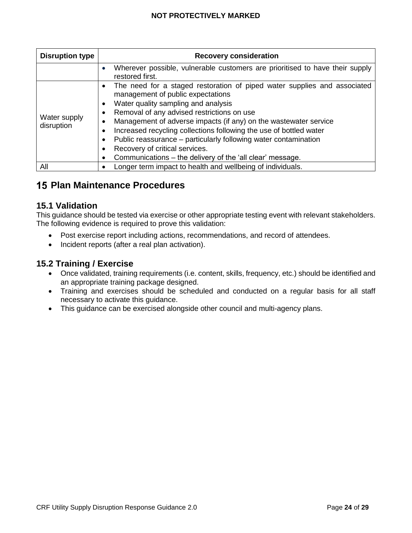| <b>Disruption type</b>     | <b>Recovery consideration</b>                                                                                                                                                                                                                                                                                                                                                                                                                                                                                  |  |  |
|----------------------------|----------------------------------------------------------------------------------------------------------------------------------------------------------------------------------------------------------------------------------------------------------------------------------------------------------------------------------------------------------------------------------------------------------------------------------------------------------------------------------------------------------------|--|--|
|                            | Wherever possible, vulnerable customers are prioritised to have their supply<br>restored first.                                                                                                                                                                                                                                                                                                                                                                                                                |  |  |
| Water supply<br>disruption | The need for a staged restoration of piped water supplies and associated<br>management of public expectations<br>Water quality sampling and analysis<br>Removal of any advised restrictions on use<br>Management of adverse impacts (if any) on the wastewater service<br>Increased recycling collections following the use of bottled water<br>Public reassurance - particularly following water contamination<br>Recovery of critical services.<br>Communications – the delivery of the 'all clear' message. |  |  |
| All                        | Longer term impact to health and wellbeing of individuals.                                                                                                                                                                                                                                                                                                                                                                                                                                                     |  |  |

# <span id="page-23-1"></span><span id="page-23-0"></span>**Plan Maintenance Procedures**

#### **15.1 Validation**

This guidance should be tested via exercise or other appropriate testing event with relevant stakeholders. The following evidence is required to prove this validation:

- Post exercise report including actions, recommendations, and record of attendees.
- Incident reports (after a real plan activation).

## <span id="page-23-2"></span>**15.2 Training / Exercise**

- Once validated, training requirements (i.e. content, skills, frequency, etc.) should be identified and an appropriate training package designed.
- Training and exercises should be scheduled and conducted on a regular basis for all staff necessary to activate this guidance.
- This guidance can be exercised alongside other council and multi-agency plans.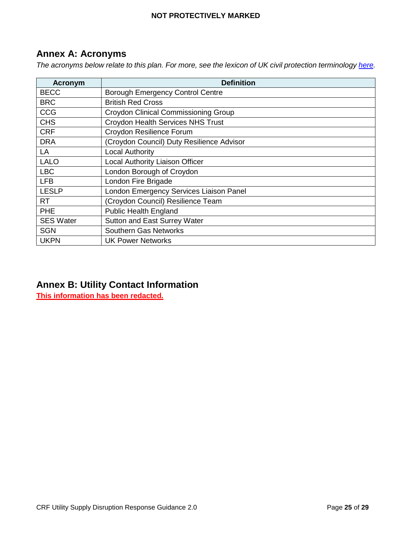# <span id="page-24-0"></span>**Annex A: Acronyms**

*The acronyms below relate to this plan. For more, see the lexicon of UK civil protection terminology [here.](https://www.gov.uk/government/publications/emergency-responder-interoperability-lexicon)* 

| Acronym          | <b>Definition</b>                           |
|------------------|---------------------------------------------|
| <b>BECC</b>      | <b>Borough Emergency Control Centre</b>     |
| <b>BRC</b>       | <b>British Red Cross</b>                    |
| <b>CCG</b>       | <b>Croydon Clinical Commissioning Group</b> |
| <b>CHS</b>       | <b>Croydon Health Services NHS Trust</b>    |
| <b>CRF</b>       | Croydon Resilience Forum                    |
| <b>DRA</b>       | (Croydon Council) Duty Resilience Advisor   |
| LA               | <b>Local Authority</b>                      |
| <b>LALO</b>      | Local Authority Liaison Officer             |
| <b>LBC</b>       | London Borough of Croydon                   |
| <b>LFB</b>       | London Fire Brigade                         |
| <b>LESLP</b>     | London Emergency Services Liaison Panel     |
| <b>RT</b>        | (Croydon Council) Resilience Team           |
| <b>PHE</b>       | <b>Public Health England</b>                |
| <b>SES Water</b> | Sutton and East Surrey Water                |
| <b>SGN</b>       | <b>Southern Gas Networks</b>                |
| <b>UKPN</b>      | <b>UK Power Networks</b>                    |

# <span id="page-24-1"></span>**Annex B: Utility Contact Information**

**This information has been redacted.**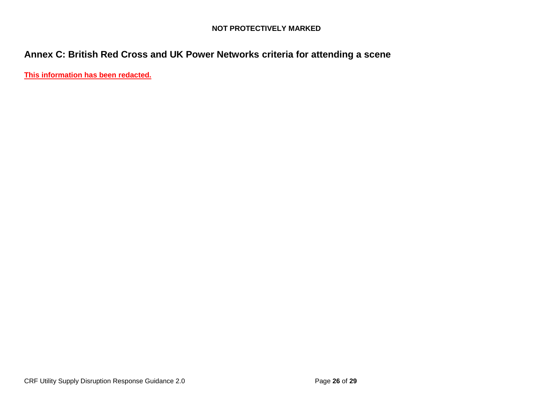# **Annex C: British Red Cross and UK Power Networks criteria for attending a scene**

<span id="page-25-0"></span>**This information has been redacted.**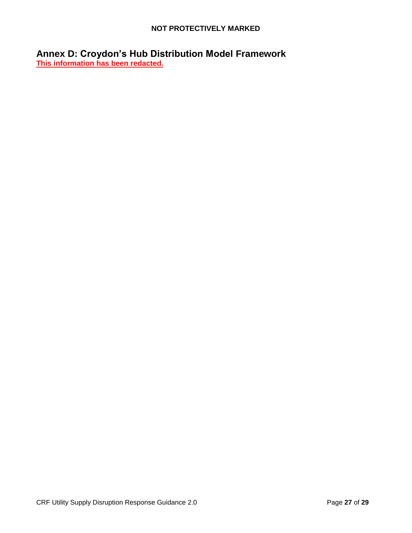<span id="page-26-0"></span>**Annex D: Croydon's Hub Distribution Model Framework This information has been redacted.**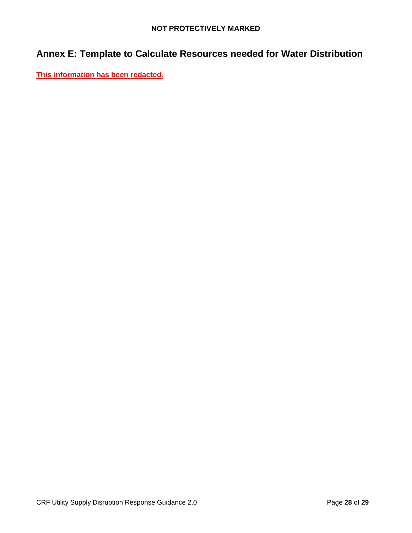# <span id="page-27-0"></span>**Annex E: Template to Calculate Resources needed for Water Distribution**

**This information has been redacted.**